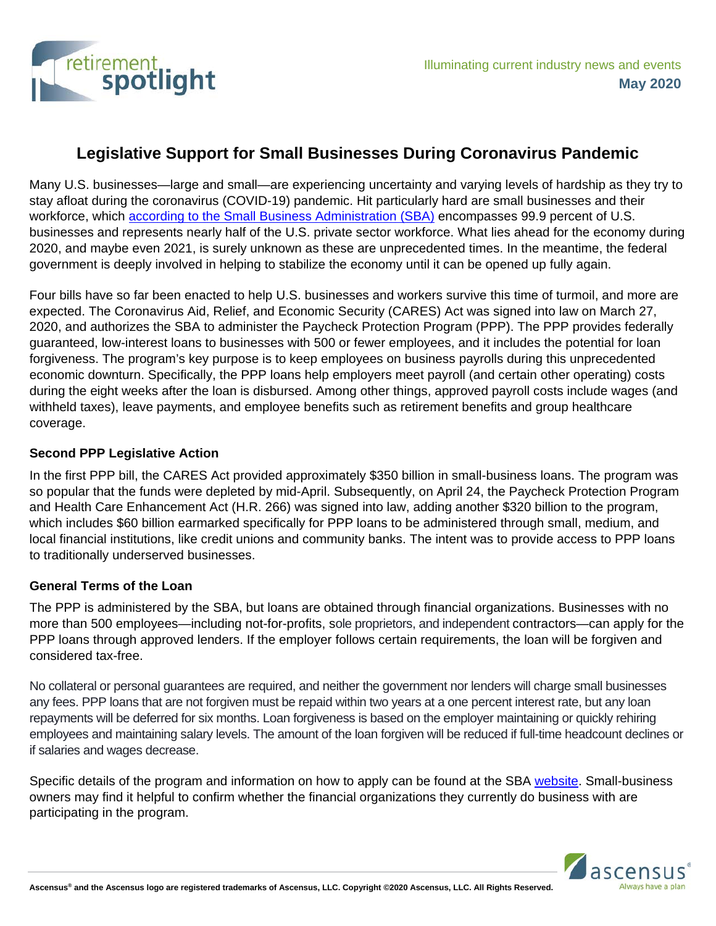

# **Legislative Support for Small Businesses During Coronavirus Pandemic**

Many U.S. businesses—large and small—are experiencing uncertainty and varying levels of hardship as they try to stay afloat during the coronavirus (COVID-19) pandemic. Hit particularly hard are small businesses and their workforce, which [according to the Small Business Administration \(SBA\)](https://cdn.advocacy.sba.gov/wp-content/uploads/2019/04/23142719/2019-Small-Business-Profiles-US.pdf) encompasses 99.9 percent of U.S. businesses and represents nearly half of the U.S. private sector workforce. What lies ahead for the economy during 2020, and maybe even 2021, is surely unknown as these are unprecedented times. In the meantime, the federal government is deeply involved in helping to stabilize the economy until it can be opened up fully again.

Four bills have so far been enacted to help U.S. businesses and workers survive this time of turmoil, and more are expected. The Coronavirus Aid, Relief, and Economic Security (CARES) Act was signed into law on March 27, 2020, and authorizes the SBA to administer the Paycheck Protection Program (PPP). The PPP provides federally guaranteed, low-interest loans to businesses with 500 or fewer employees, and it includes the potential for loan forgiveness. The program's key purpose is to keep employees on business payrolls during this unprecedented economic downturn. Specifically, the PPP loans help employers meet payroll (and certain other operating) costs during the eight weeks after the loan is disbursed. Among other things, approved payroll costs include wages (and withheld taxes), leave payments, and employee benefits such as retirement benefits and group healthcare coverage.

## **Second PPP Legislative Action**

In the first PPP bill, the CARES Act provided approximately \$350 billion in small-business loans. The program was so popular that the funds were depleted by mid-April. Subsequently, on April 24, the Paycheck Protection Program and Health Care Enhancement Act (H.R. 266) was signed into law, adding another \$320 billion to the program, which includes \$60 billion earmarked specifically for PPP loans to be administered through small, medium, and local financial institutions, like credit unions and community banks. The intent was to provide access to PPP loans to traditionally underserved businesses.

### **General Terms of the Loan**

The PPP is administered by the SBA, but loans are obtained through financial organizations. Businesses with no more than 500 employees—including not-for-profits, sole proprietors, and independent contractors—can apply for the PPP loans through approved lenders. If the employer follows certain requirements, the loan will be forgiven and considered tax-free.

No collateral or personal guarantees are required, and neither the government nor lenders will charge small businesses any fees. PPP loans that are not forgiven must be repaid within two years at a one percent interest rate, but any loan repayments will be deferred for six months. Loan forgiveness is based on the employer maintaining or quickly rehiring employees and maintaining salary levels. The amount of the loan forgiven will be reduced if full-time headcount declines or if salaries and wages decrease.

Specific details of the program and information on how to apply can be found at the SBA [website.](https://www.sba.gov/funding-programs/loans/coronavirus-relief-options/paycheck-protection-program?utm_medium=email&utm_source=govdelivery) Small-business owners may find it helpful to confirm whether the financial organizations they currently do business with are participating in the program.